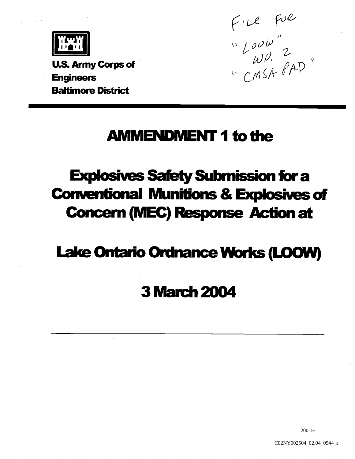

U.S. Army Corps of Baltimore District

ENGINEERS COMPASS CONSTANT OF THE CONSTRUCTION OF THE CONSTRUCTION OF THE CONSTRUCTION OF THE CONSTRUCTION OF THE CONSTRUCTION OF THE CONSTRUCTION OF THE CONSTRUCTION OF THE CONSTRUCTION OF THE CONSTRUCTION OF THE CONSTRU

### **AMMENDMENT 1 to the**

# **Explosives Safety Submission for a Conventional Munitions & Explosives of Concern (MEC) Response Action at**

## Lake Ontario Ordnance Works (LOOW)

## 3March2004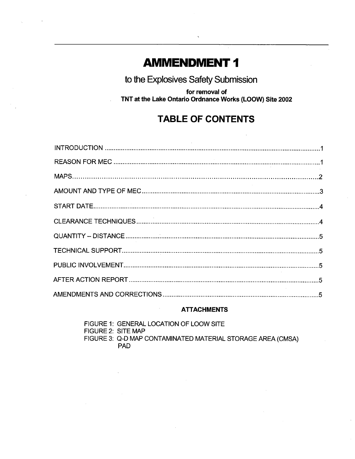### **AMMENDMENT 1**

to the Explosives Safety Submission

for removal of TNT at the Lake Ontario Ordnance Works (LOOW) Site 2002

### TABLE OF CONTENTS

#### ATTACHMENTS

FIGURE 1: GENERAL LOCATION OF LOOW SITE FIGURE 2: SITE MAP FIGURE 3: Q-D MAP CONTAMINATED MATERIAL STORAGE AREA (CMSA) PAD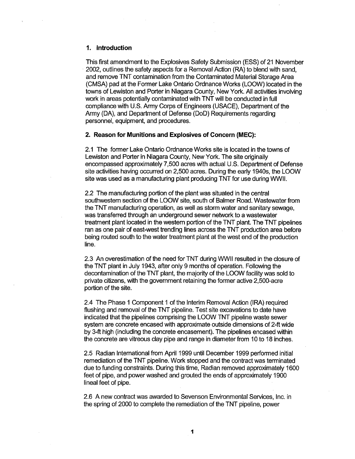#### Introduction

This first amendment to the Explosives Safety Submission (ESS) of 21 November 2002, outlines the safety aspects for a Removal Action (RA) to blend with sand, and remove TNT contamination from the Contaminated Material Storage Area (CMSA) pad at the Former Lake Ontario Ordnance Works (LOOW) located in the towns of Lewiston and Porter in Niagara County, New York. All activities involving work in areas potentially contaminated with TNT will be conducted in full compliance with U.S. Army Corps of Engineers (USACE), Department of the Army (DA), and Department of Defense (DoD) Requirements regarding personnel, equipment, and procedures.

#### 2. Reason for Munitions and Explosives of Concern (MEC):

2.1 The former Lake Ontario Ordnance Works site is located in the towns of Lewiston and Porter in Niagara County, New York. The site originally encompassed approximately 7500 acres with actual U.S Department of Defense site activities having occurred on 2,500 acres. During the early 1940s, the LOOW site was used as a manufacturing plant producing TNT for use during WWII.

2.2 The manufacturing portion of the plant was situated in the central southwestern section of the LOOW site, south of Balmer Road. Wastewater from the TNT manufacturing operation, as well as storm water and sanitary sewage, was transferred through an underground sewer network to a wastewater treatment plant located in the western portion of the TNT plant. The TNT pipelines ran as one pair of east-west trending lines across the TNT production area before being routed south to the water treatment plant at the west end of the production line.

2.3 An overestimation of the need for TNT during WWII resulted in the closure of the TNT plant in July 1943, after only 9 months of operation. Following the decontamination of the TNT plant, the majority of the LOOW facility was sold to private citizens, with the government retaining the former active 2,500-acre portion of the site

2.4 The Phase 1 Component 1 of the Interim Removal Action (IRA) required flushing and removal of the TNT pipeline. Test site excavations to date have indicated that the pipelines comprising the LOOW TNT pipeline waste sewer system are concrete encased with approximate outside dimensions of 2-ft wide by 3-ft high (including the concrete encasement). The pipelines encased within the concrete are vitreous clay pipe and range in diameter from <sup>10</sup> to <sup>18</sup> inches

2.5 Radian International from April 1999 until December 1999 performed initial remediation of the TNT pipeline. Work stopped and the contract was terminated due to funding constraints. During this time, Radian removed approximately 1600 feet of pipe, and power washed and grouted the ends of approximately 1900 lineal feet of pipe

2.6 A new contract was awarded to Sevenson Environmental Services, Inc. in the spring of 2000 to complete the remediation of the TNT pipeline, power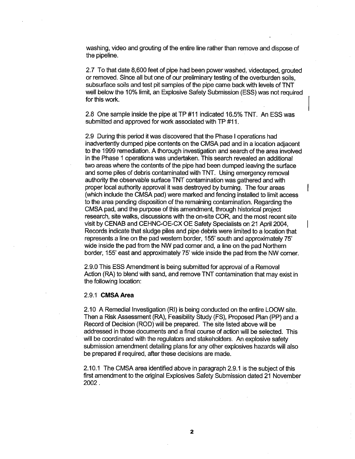washing, video and grouting of the entire line rather than remove and dispose of the pipeline

2.7 To that date 8,600 feet of pipe had been power washed, videotaped, grouted or removed. Since all but one of our preliminary testing of the overburden soils. subsurface soils and test pit samples of the pipe came back with levels of TNT well below the 10% limit, an Explosive Safety Submission (ESS) was not required for this work

2.8 One sample inside the pipe at TP #11 indicated 16.5% TNT. An ESS was submitted and approved for work associated with TP #11.

2.9 During this period it was discovered that the Phase I operations had inadvertently dumped pipe contents on the CMSA pad and in a location adjacent to the 1999 remediation. A thorough investigation and search of the area involved in the Phase 1 operations was undertaken. This search revealed an additional two areas where the contents of the pipe had been dumped leaving the surface and some piles of debris contaminated with TNT. Using emergency removal authority the observable surface TNT contamination was gathered and with proper local authority approval it was destroyed by burning. The four areas (which include the CMSA pad) were marked and fencing installed to limit access to the area pending disposition of the remaining contamination. Regarding the CMSA pad, and the purpose of this amendment, through historical project research, site walks, discussions with the on-site COR, and the most recent site visit by CENAB and CEHNC-OE-CX OE Safety Specialists on 21 April 2004, Records indicate that sludge piles and pipe debris were limited to a location that represents a line on the pad western border, 155' south and approximately 75' wide inside the pad from the NW pad corner and, a line on the pad Northern border, 155' east and approximately 75' wide inside the pad from the NW corner.

2.9.0 This ESS Amendment is being submitted for approval of a Removal Action (RA) to blend with sand, and remove TNT contamination that may exist in the following location

#### 2.9.1 CMSA Area

2.10 A Remedial Investigation (RI) is being conducted on the entire LOOW site. Then a Risk Assessment (RA), Feasibility Study (FS), Proposed Plan (PP) and a Record of Decision (ROD) will be prepared. The site listed above will be addressed in those documents and a final course of action will be selected. This will be coordinated with the regulators and stakeholders. An explosive safety submission amendment detailing plans for any other explosives hazards will also be prepared if required, after these decisions are made.

2.10.1 The CMSA area identified above in paragraph 2.9.1 is the subject of this first amendment to the original Explosives Safety Submission dated <sup>21</sup> November 2002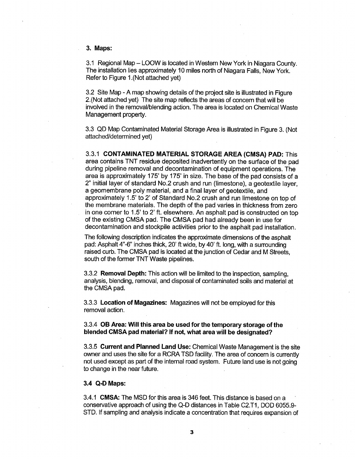#### 3. Maps:

3.1 Regional Map – LOOW is located in Western New York in Niagara County. The installation lies approximately 10 miles north of Niagara Falls, New York. Refer to Figure 1. (Not attached yet)

3.2 Site Map - A map showing details of the project site is illustrated in Figure 2. (Not attached yet) The site map reflects the areas of concern that will be involved in the removal/blending action. The area is located on Chemical Waste Management property

3.3 QD Map Contaminated Material Storage Area is illustrated in Figure 3. (Not attached/determined yet

3.3.1 CONTAMINATED MATERIAL STORAGE AREA (CMSA) PAD: This area contains TNT residue deposited inadvertently on the surface of the pad during pipeline removal and decontamination of equipment operations. The area is approximately 175' by 175' in size. The base of the pad consists of a 2" initial layer of standard No.2 crush and run (limestone), a geotextile layer. a geomembrane poly material, and a final layer of geotextile, and approximately 1.5' to 2' of Standard No.2 crush and run limestone on top of the membrane materials. The depth of the pad varies in thickness from zero in one corner to 1.5' to 2' ft. elsewhere. An asphalt pad is constructed on top of the existing CMSA pad. The CMSA pad had already been in use for decontamination and stockpile activities prior to the asphalt pad installation

The following description indicates the approximate dimensions of the asphalt pad: Asphalt 4"-6" inches thick, 20' ft wide, by 40' ft. long, with a surrounding raised curb. The CMSA pad is located at the junction of Cedar and M Streets, south of the former TNT Waste pipelines

3.3.2 **Removal Depth:** This action will be limited to the inspection, sampling, analysis, blending, removal, and disposal of contaminated soils and material at the CMSA pad

3.3.3 Location of Magazines: Magazines will not be employed for this removal action

#### 3.3.4 OB Area: Will this area be used for the temporary storage of the blended CMSA pad material? If not, what area will be designated?

3.3.5 Current and Planned Land Use: Chemical Waste Management is the site owner and uses the site for a RCRA TSD facility. The area of concern is currently not used except as part of the internal road system. Future land use is not going to change in the near future

#### 3.4 Q-D Maps

3.4.1 CMSA: The MSD for this area is 346 feet. This distance is based on a conservative approach of using the Q-D distances in Table C2.T1, DOD 6055.9-STD. If sampling and analysis indicate a concentration that requires expansion of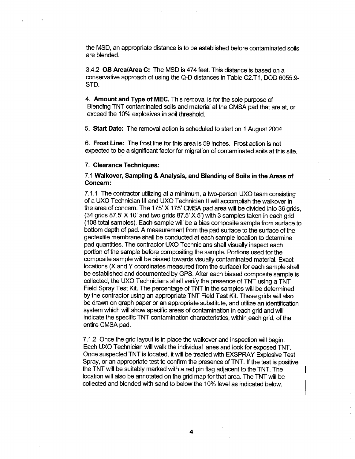the MSD, an appropriate distance is to be established before contaminated soils are blended

3.4.2 OB Area/Area C: The MSD is 474 feet. This distance is based on a conservative approach of using the Q-D distances in Table C2.T1, DOD 6055.9-STD

4. Amount and Type of MEC. This removal is for the sole purpose of Blending TNT contaminated soils and material at the CMSA pad that are at or exceed the 10% explosives in soil threshold

5. Start Date: The removal action is scheduled to start on 1 August 2004.

6. Frost Line: The frost line for this area is 59 inches. Frost action is not expected to be a significant factor for migration of contaminated soils at this site.

#### 7. Clearance Techniques:

#### 7.1 Walkover, Sampling & Analysis, and Blending of Soils in the Areas of Concern

7.1.1 The contractor utilizing at a minimum, a two-person UXO team consisting of a UXO Technician III and UXO Technician II will accomplish the walkover in the area of concern. The 175'  $X$  175' CMSA pad area will be divided into 36 grids.  $(34$  grids 87.5' X 10' and two grids 87.5' X 5') with 3 samples taken in each grid (108 total samples). Each sample will be a bias composite sample from surface to bottom depth of pad. A measurement from the pad surface to the surface of the geotextile membrane shall be conducted at each sample location to determine pad quantities The contractor UXO Technicians shall visually inspect each portion of the sample before compositing the sample. Portions used for the composite sample will be biased towards visually contaminated material Exact locations (X and Y coordinates measured from the surface) for each sample shall be established and documented by GPS After each biased composite sample is collected, the UXO Technicians shall verify the presence of TNT using a TNT Field Spray Test Kit. The percentage of TNT in the samples will be determined by the contractor using an appropriate TNT Field Test Kit. These grids will also be drawn on graph paper or an appropriate substitute, and utilize an identification system which will show specific areas of contamination in each grid and will indicate the specific TNT contamination characteristics, within each grid, of the entire CMSA pad

7.1.2 Once the grid layout is in place the walkover and inspection will begin Each UXO Technician will walk the individual lanes and look for exposed TNT Once suspected TNT is located, it will be treated with EXSPRAY Explosive Test Spray, or an appropriate test to confirm the presence of TNT. If the test is positive the TNT will be suitably marked with a red pin flag adjacent to the TNT. The location will also be annotated on the grid map for that area. The TNT will be collected and blended with sand to below the 10% level as indicated below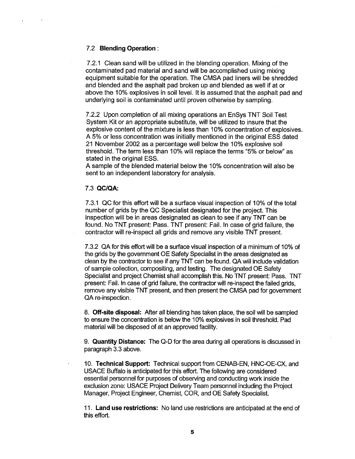#### 7.2 Blending Operation

7.2.1 Clean sand will be utilized in the blending operation. Mixing of the contaminated pad material and sand will be accomplished using mixing equipment suitable for the operation. The CMSA pad liners will be shredded and blended and the asphalt pad broken up and blended as well if at or above the 10% explosives in soil level. It is assumed that the asphalt pad and underlying soil is contaminated until proven otherwise by sampling

7.2.2 Upon completion of all mixing operations an EnSys TNT Soil Test System Kit or an appropriate substitute, will be utilized to insure that the explosive content of the mixture is less than 10% concentration of explosives 5% or less concentration was initially mentioned in the original ESS dated 21 November 2002 as a percentage well below the 10% explosive soil threshold. The term less than 10% will replace the terms "5% or below" as stated in the original ESS

A sample of the blended material below the 10% concentration will also be sent to an independent laboratory for analysis

#### 7.3 QCIQA

7.3.1 QC for this effort will be a surface visual inspection of 10% of the total number of grids by the QC Specialist designated for the project. This inspection will be in areas designated as clean to see if any TNT can be found. No TNT present: Pass. TNT present: Fail. In case of grid failure, the contractor will re-inspect all grids and remove any visible TNT present

7.3.2 QA for this effort will be a surface visual inspection of a minimum of 10% of the grids by the government OE Safety Specialist in the areas designated as clean by the contractor to see if any TNT can be found. QA will include validation of sample collection, compositing, and testing. The designated OE Safety Specialist and project Chemist shall accomplish this. No TNT present: Pass. TNT present: Fail. In case of grid failure, the contractor will re-inspect the failed grids, remove any visible TNT present, and then present the CMSA pad for government QA re-inspection.

8. Off-site disposal: After all blending has taken place, the soil will be sampled to ensure the concentration is below the 10% explosives in soil threshold. Pad material will be disposed of at an approved facility

9. Quantity Distance: The Q-D for the area during all operations is discussed in paragraph 3.3 above

10. Technical Support: Technical support from CENAB-EN, HNC-OE-CX, and USACE Buffalo is anticipated for this effort. The following are considered essential personnel for purposes of observing and conducting work inside the exclusion zone: USACE Project Delivery Team personnel including the Project Manager, Project Engineer, Chemist, COR, and OE Safety Specialist.

11. Land use restrictions: No land use restrictions are anticipated at the end of this effort